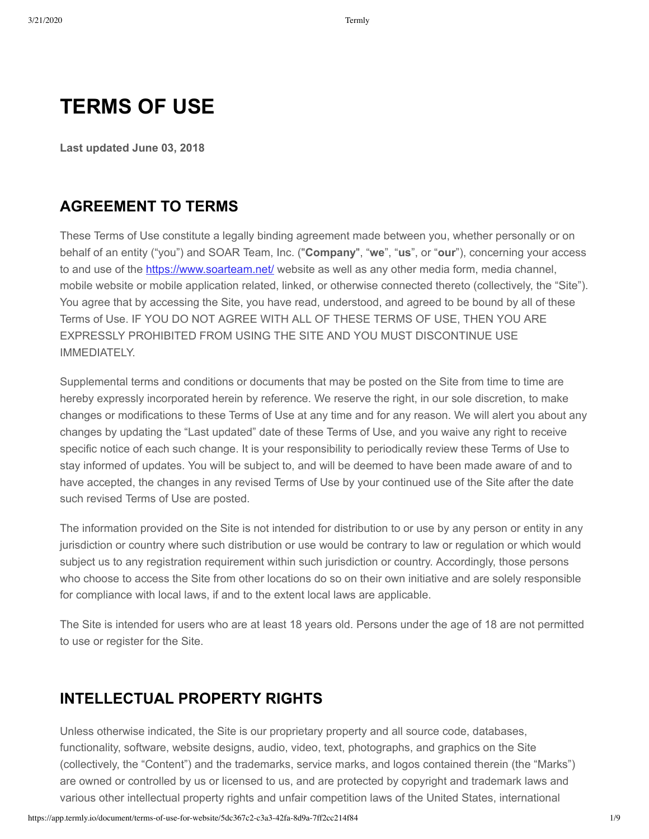# **TERMS OF USE**

**Last updated June 03, 2018**

#### **AGREEMENT TO TERMS**

These Terms of Use constitute a legally binding agreement made between you, whether personally or on behalf of an entity ("you") and SOAR Team, Inc. ("**Company**", "**we**", "**us**", or "**our**"), concerning your access to and use of the <https://www.soarteam.net/> website as well as any other media form, media channel, mobile website or mobile application related, linked, or otherwise connected thereto (collectively, the "Site"). You agree that by accessing the Site, you have read, understood, and agreed to be bound by all of these Terms of Use. IF YOU DO NOT AGREE WITH ALL OF THESE TERMS OF USE, THEN YOU ARE EXPRESSLY PROHIBITED FROM USING THE SITE AND YOU MUST DISCONTINUE USE IMMEDIATELY.

Supplemental terms and conditions or documents that may be posted on the Site from time to time are hereby expressly incorporated herein by reference. We reserve the right, in our sole discretion, to make changes or modifications to these Terms of Use at any time and for any reason. We will alert you about any changes by updating the "Last updated" date of these Terms of Use, and you waive any right to receive specific notice of each such change. It is your responsibility to periodically review these Terms of Use to stay informed of updates. You will be subject to, and will be deemed to have been made aware of and to have accepted, the changes in any revised Terms of Use by your continued use of the Site after the date such revised Terms of Use are posted.

The information provided on the Site is not intended for distribution to or use by any person or entity in any jurisdiction or country where such distribution or use would be contrary to law or regulation or which would subject us to any registration requirement within such jurisdiction or country. Accordingly, those persons who choose to access the Site from other locations do so on their own initiative and are solely responsible for compliance with local laws, if and to the extent local laws are applicable.

The Site is intended for users who are at least 18 years old. Persons under the age of 18 are not permitted to use or register for the Site.

### **INTELLECTUAL PROPERTY RIGHTS**

Unless otherwise indicated, the Site is our proprietary property and all source code, databases, functionality, software, website designs, audio, video, text, photographs, and graphics on the Site (collectively, the "Content") and the trademarks, service marks, and logos contained therein (the "Marks") are owned or controlled by us or licensed to us, and are protected by copyright and trademark laws and various other intellectual property rights and unfair competition laws of the United States, international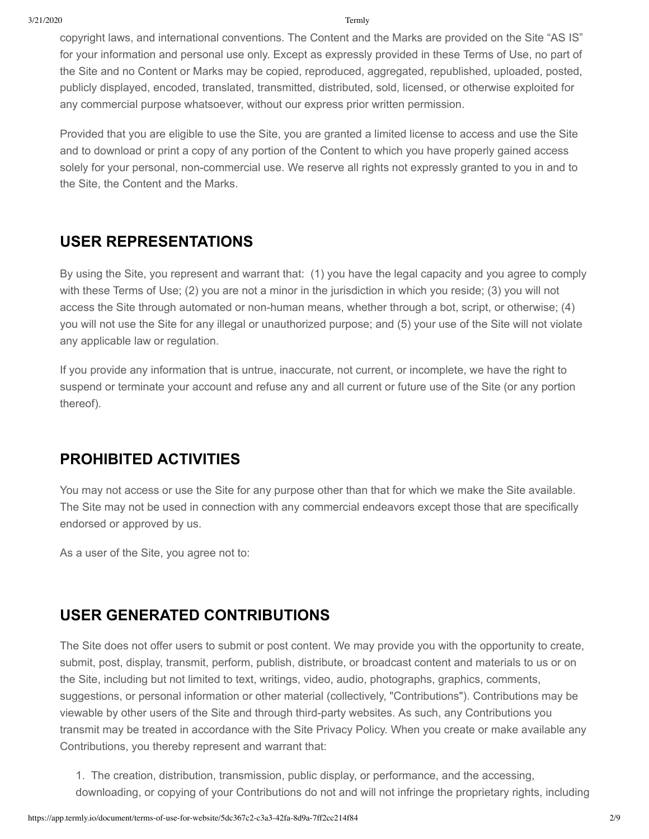copyright laws, and international conventions. The Content and the Marks are provided on the Site "AS IS" for your information and personal use only. Except as expressly provided in these Terms of Use, no part of the Site and no Content or Marks may be copied, reproduced, aggregated, republished, uploaded, posted, publicly displayed, encoded, translated, transmitted, distributed, sold, licensed, or otherwise exploited for any commercial purpose whatsoever, without our express prior written permission.

Provided that you are eligible to use the Site, you are granted a limited license to access and use the Site and to download or print a copy of any portion of the Content to which you have properly gained access solely for your personal, non-commercial use. We reserve all rights not expressly granted to you in and to the Site, the Content and the Marks.

## **USER REPRESENTATIONS**

By using the Site, you represent and warrant that: (1) you have the legal capacity and you agree to comply with these Terms of Use; (2) you are not a minor in the jurisdiction in which you reside; (3) you will not access the Site through automated or non-human means, whether through a bot, script, or otherwise; (4) you will not use the Site for any illegal or unauthorized purpose; and (5) your use of the Site will not violate any applicable law or regulation.

If you provide any information that is untrue, inaccurate, not current, or incomplete, we have the right to suspend or terminate your account and refuse any and all current or future use of the Site (or any portion thereof).

## **PROHIBITED ACTIVITIES**

You may not access or use the Site for any purpose other than that for which we make the Site available. The Site may not be used in connection with any commercial endeavors except those that are specifically endorsed or approved by us.

As a user of the Site, you agree not to:

## **USER GENERATED CONTRIBUTIONS**

The Site does not offer users to submit or post content. We may provide you with the opportunity to create, submit, post, display, transmit, perform, publish, distribute, or broadcast content and materials to us or on the Site, including but not limited to text, writings, video, audio, photographs, graphics, comments, suggestions, or personal information or other material (collectively, "Contributions"). Contributions may be viewable by other users of the Site and through third-party websites. As such, any Contributions you transmit may be treated in accordance with the Site Privacy Policy. When you create or make available any Contributions, you thereby represent and warrant that:

1. The creation, distribution, transmission, public display, or performance, and the accessing, downloading, or copying of your Contributions do not and will not infringe the proprietary rights, including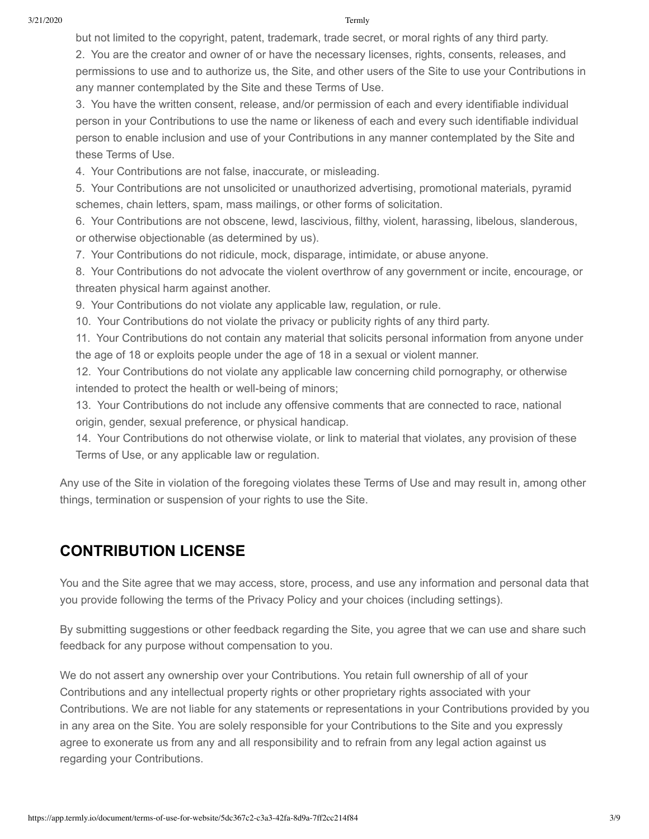but not limited to the copyright, patent, trademark, trade secret, or moral rights of any third party.

2. You are the creator and owner of or have the necessary licenses, rights, consents, releases, and permissions to use and to authorize us, the Site, and other users of the Site to use your Contributions in any manner contemplated by the Site and these Terms of Use.

3. You have the written consent, release, and/or permission of each and every identifiable individual person in your Contributions to use the name or likeness of each and every such identifiable individual person to enable inclusion and use of your Contributions in any manner contemplated by the Site and these Terms of Use.

4. Your Contributions are not false, inaccurate, or misleading.

5. Your Contributions are not unsolicited or unauthorized advertising, promotional materials, pyramid schemes, chain letters, spam, mass mailings, or other forms of solicitation.

6. Your Contributions are not obscene, lewd, lascivious, filthy, violent, harassing, libelous, slanderous, or otherwise objectionable (as determined by us).

7. Your Contributions do not ridicule, mock, disparage, intimidate, or abuse anyone.

8. Your Contributions do not advocate the violent overthrow of any government or incite, encourage, or threaten physical harm against another.

9. Your Contributions do not violate any applicable law, regulation, or rule.

10. Your Contributions do not violate the privacy or publicity rights of any third party.

11. Your Contributions do not contain any material that solicits personal information from anyone under the age of 18 or exploits people under the age of 18 in a sexual or violent manner.

12. Your Contributions do not violate any applicable law concerning child pornography, or otherwise intended to protect the health or well-being of minors;

13. Your Contributions do not include any offensive comments that are connected to race, national origin, gender, sexual preference, or physical handicap.

14. Your Contributions do not otherwise violate, or link to material that violates, any provision of these Terms of Use, or any applicable law or regulation.

Any use of the Site in violation of the foregoing violates these Terms of Use and may result in, among other things, termination or suspension of your rights to use the Site.

### **CONTRIBUTION LICENSE**

You and the Site agree that we may access, store, process, and use any information and personal data that you provide following the terms of the Privacy Policy and your choices (including settings).

By submitting suggestions or other feedback regarding the Site, you agree that we can use and share such feedback for any purpose without compensation to you.

We do not assert any ownership over your Contributions. You retain full ownership of all of your Contributions and any intellectual property rights or other proprietary rights associated with your Contributions. We are not liable for any statements or representations in your Contributions provided by you in any area on the Site. You are solely responsible for your Contributions to the Site and you expressly agree to exonerate us from any and all responsibility and to refrain from any legal action against us regarding your Contributions.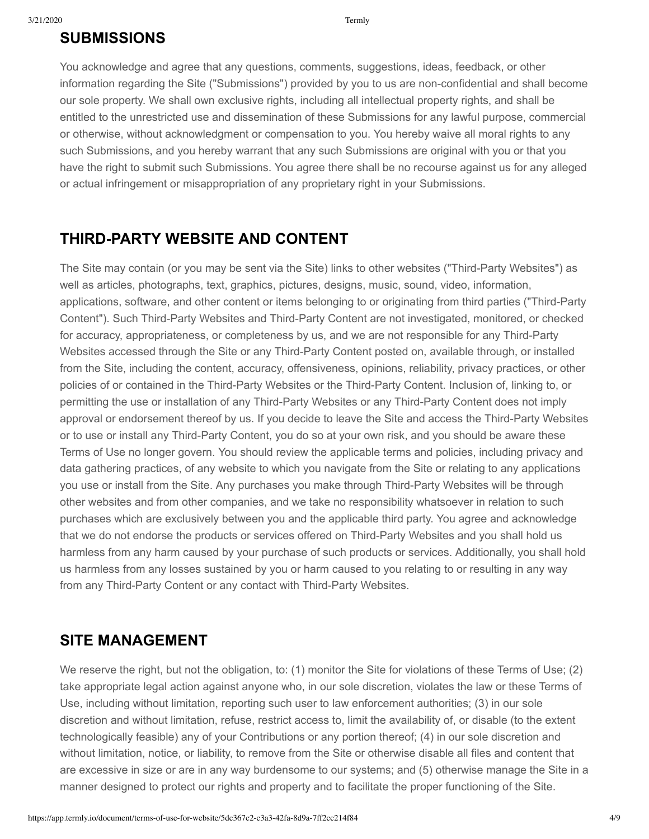### **SUBMISSIONS**

You acknowledge and agree that any questions, comments, suggestions, ideas, feedback, or other information regarding the Site ("Submissions") provided by you to us are non-confidential and shall become our sole property. We shall own exclusive rights, including all intellectual property rights, and shall be entitled to the unrestricted use and dissemination of these Submissions for any lawful purpose, commercial or otherwise, without acknowledgment or compensation to you. You hereby waive all moral rights to any such Submissions, and you hereby warrant that any such Submissions are original with you or that you have the right to submit such Submissions. You agree there shall be no recourse against us for any alleged or actual infringement or misappropriation of any proprietary right in your Submissions.

## **THIRD-PARTY WEBSITE AND CONTENT**

The Site may contain (or you may be sent via the Site) links to other websites ("Third-Party Websites") as well as articles, photographs, text, graphics, pictures, designs, music, sound, video, information, applications, software, and other content or items belonging to or originating from third parties ("Third-Party Content"). Such Third-Party Websites and Third-Party Content are not investigated, monitored, or checked for accuracy, appropriateness, or completeness by us, and we are not responsible for any Third-Party Websites accessed through the Site or any Third-Party Content posted on, available through, or installed from the Site, including the content, accuracy, offensiveness, opinions, reliability, privacy practices, or other policies of or contained in the Third-Party Websites or the Third-Party Content. Inclusion of, linking to, or permitting the use or installation of any Third-Party Websites or any Third-Party Content does not imply approval or endorsement thereof by us. If you decide to leave the Site and access the Third-Party Websites or to use or install any Third-Party Content, you do so at your own risk, and you should be aware these Terms of Use no longer govern. You should review the applicable terms and policies, including privacy and data gathering practices, of any website to which you navigate from the Site or relating to any applications you use or install from the Site. Any purchases you make through Third-Party Websites will be through other websites and from other companies, and we take no responsibility whatsoever in relation to such purchases which are exclusively between you and the applicable third party. You agree and acknowledge that we do not endorse the products or services offered on Third-Party Websites and you shall hold us harmless from any harm caused by your purchase of such products or services. Additionally, you shall hold us harmless from any losses sustained by you or harm caused to you relating to or resulting in any way from any Third-Party Content or any contact with Third-Party Websites.

#### **SITE MANAGEMENT**

We reserve the right, but not the obligation, to: (1) monitor the Site for violations of these Terms of Use; (2) take appropriate legal action against anyone who, in our sole discretion, violates the law or these Terms of Use, including without limitation, reporting such user to law enforcement authorities; (3) in our sole discretion and without limitation, refuse, restrict access to, limit the availability of, or disable (to the extent technologically feasible) any of your Contributions or any portion thereof; (4) in our sole discretion and without limitation, notice, or liability, to remove from the Site or otherwise disable all files and content that are excessive in size or are in any way burdensome to our systems; and (5) otherwise manage the Site in a manner designed to protect our rights and property and to facilitate the proper functioning of the Site.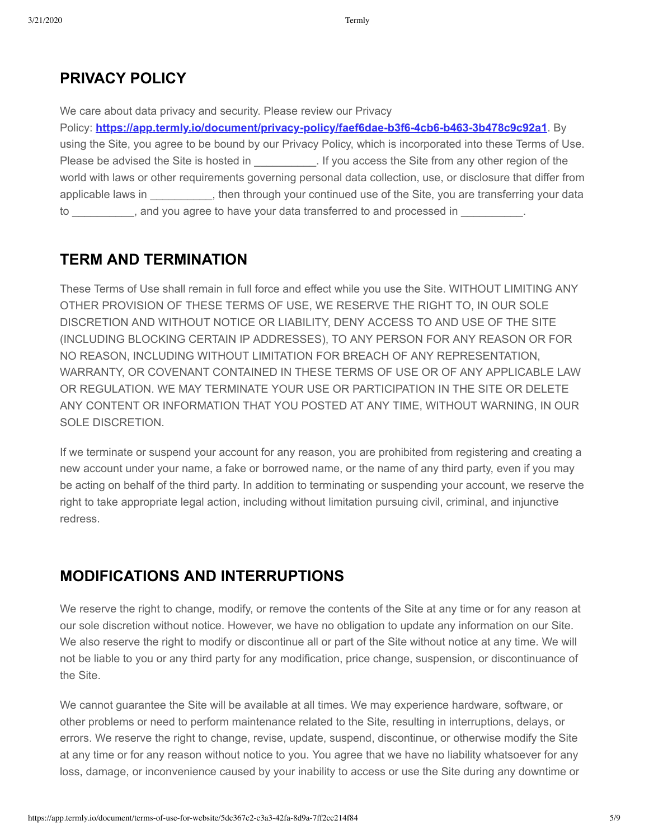## **PRIVACY POLICY**

We care about data privacy and security. Please review our Privacy

Policy: **<https://app.termly.io/document/privacy-policy/faef6dae-b3f6-4cb6-b463-3b478c9c92a1>**. By using the Site, you agree to be bound by our Privacy Policy, which is incorporated into these Terms of Use. Please be advised the Site is hosted in  $\qquad \qquad$  If you access the Site from any other region of the world with laws or other requirements governing personal data collection, use, or disclosure that differ from applicable laws in  $\Box$ , then through your continued use of the Site, you are transferring your data to \_\_\_\_\_\_\_\_\_\_, and you agree to have your data transferred to and processed in \_\_\_\_\_\_\_\_\_\_.

### **TERM AND TERMINATION**

These Terms of Use shall remain in full force and effect while you use the Site. WITHOUT LIMITING ANY OTHER PROVISION OF THESE TERMS OF USE, WE RESERVE THE RIGHT TO, IN OUR SOLE DISCRETION AND WITHOUT NOTICE OR LIABILITY, DENY ACCESS TO AND USE OF THE SITE (INCLUDING BLOCKING CERTAIN IP ADDRESSES), TO ANY PERSON FOR ANY REASON OR FOR NO REASON, INCLUDING WITHOUT LIMITATION FOR BREACH OF ANY REPRESENTATION, WARRANTY, OR COVENANT CONTAINED IN THESE TERMS OF USE OR OF ANY APPLICABLE LAW OR REGULATION. WE MAY TERMINATE YOUR USE OR PARTICIPATION IN THE SITE OR DELETE ANY CONTENT OR INFORMATION THAT YOU POSTED AT ANY TIME, WITHOUT WARNING, IN OUR SOLE DISCRETION.

If we terminate or suspend your account for any reason, you are prohibited from registering and creating a new account under your name, a fake or borrowed name, or the name of any third party, even if you may be acting on behalf of the third party. In addition to terminating or suspending your account, we reserve the right to take appropriate legal action, including without limitation pursuing civil, criminal, and injunctive redress.

## **MODIFICATIONS AND INTERRUPTIONS**

We reserve the right to change, modify, or remove the contents of the Site at any time or for any reason at our sole discretion without notice. However, we have no obligation to update any information on our Site. We also reserve the right to modify or discontinue all or part of the Site without notice at any time. We will not be liable to you or any third party for any modification, price change, suspension, or discontinuance of the Site.

We cannot guarantee the Site will be available at all times. We may experience hardware, software, or other problems or need to perform maintenance related to the Site, resulting in interruptions, delays, or errors. We reserve the right to change, revise, update, suspend, discontinue, or otherwise modify the Site at any time or for any reason without notice to you. You agree that we have no liability whatsoever for any loss, damage, or inconvenience caused by your inability to access or use the Site during any downtime or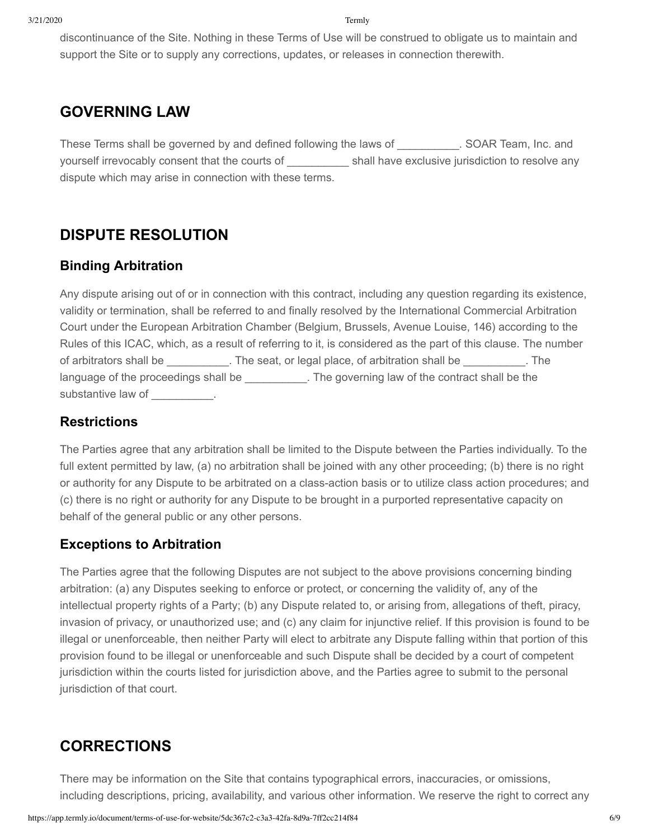discontinuance of the Site. Nothing in these Terms of Use will be construed to obligate us to maintain and support the Site or to supply any corrections, updates, or releases in connection therewith.

### **GOVERNING LAW**

These Terms shall be governed by and defined following the laws of These Terms shall be governed by and defined following the laws of yourself irrevocably consent that the courts of \_\_\_\_\_\_\_\_\_\_\_\_\_\_\_\_\_\_\_\_\_\_\_\_\_\_\_\_\_\_\_\_\_<br>shall have exclusive jurisdiction to resolve any dispute which may arise in connection with these terms.

## **DISPUTE RESOLUTION**

#### **Binding Arbitration**

Any dispute arising out of or in connection with this contract, including any question regarding its existence, validity or termination, shall be referred to and finally resolved by the International Commercial Arbitration Court under the European Arbitration Chamber (Belgium, Brussels, Avenue Louise, 146) according to the Rules of this ICAC, which, as a result of referring to it, is considered as the part of this clause. The number of arbitrators shall be \_\_\_\_\_\_\_\_\_\_. The seat, or legal place, of arbitration shall be \_\_\_\_\_\_\_\_\_\_. The language of the proceedings shall be \_\_\_\_\_\_\_\_\_\_\_. The governing law of the contract shall be the substantive law of  $\qquad \qquad$ .

#### **Restrictions**

The Parties agree that any arbitration shall be limited to the Dispute between the Parties individually. To the full extent permitted by law, (a) no arbitration shall be joined with any other proceeding; (b) there is no right or authority for any Dispute to be arbitrated on a class-action basis or to utilize class action procedures; and (c) there is no right or authority for any Dispute to be brought in a purported representative capacity on behalf of the general public or any other persons.

#### **Exceptions to Arbitration**

The Parties agree that the following Disputes are not subject to the above provisions concerning binding arbitration: (a) any Disputes seeking to enforce or protect, or concerning the validity of, any of the intellectual property rights of a Party; (b) any Dispute related to, or arising from, allegations of theft, piracy, invasion of privacy, or unauthorized use; and (c) any claim for injunctive relief. If this provision is found to be illegal or unenforceable, then neither Party will elect to arbitrate any Dispute falling within that portion of this provision found to be illegal or unenforceable and such Dispute shall be decided by a court of competent jurisdiction within the courts listed for jurisdiction above, and the Parties agree to submit to the personal jurisdiction of that court.

## **CORRECTIONS**

There may be information on the Site that contains typographical errors, inaccuracies, or omissions, including descriptions, pricing, availability, and various other information. We reserve the right to correct any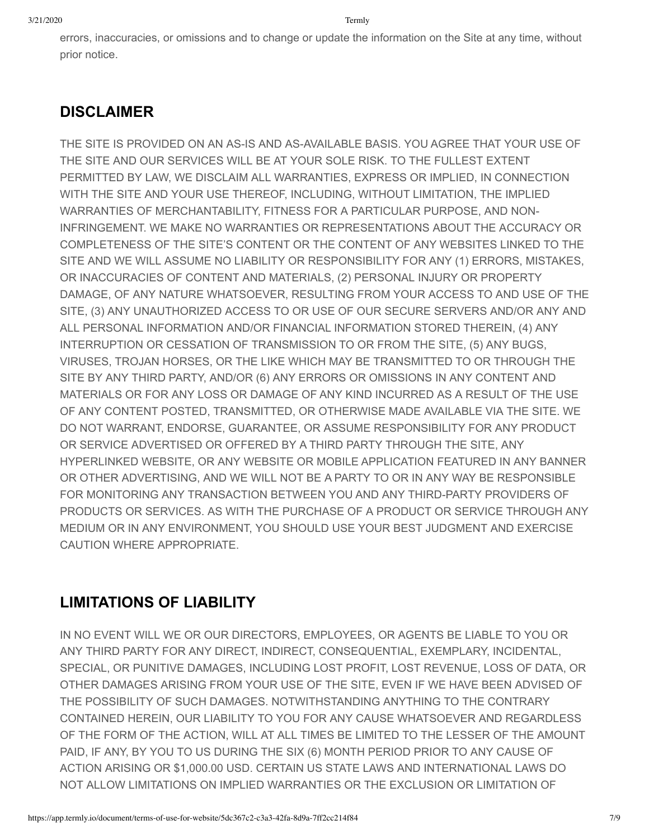errors, inaccuracies, or omissions and to change or update the information on the Site at any time, without prior notice.

#### **DISCLAIMER**

THE SITE IS PROVIDED ON AN AS-IS AND AS-AVAILABLE BASIS. YOU AGREE THAT YOUR USE OF THE SITE AND OUR SERVICES WILL BE AT YOUR SOLE RISK. TO THE FULLEST EXTENT PERMITTED BY LAW, WE DISCLAIM ALL WARRANTIES, EXPRESS OR IMPLIED, IN CONNECTION WITH THE SITE AND YOUR USE THEREOF, INCLUDING, WITHOUT LIMITATION, THE IMPLIED WARRANTIES OF MERCHANTABILITY, FITNESS FOR A PARTICULAR PURPOSE, AND NON-INFRINGEMENT. WE MAKE NO WARRANTIES OR REPRESENTATIONS ABOUT THE ACCURACY OR COMPLETENESS OF THE SITE'S CONTENT OR THE CONTENT OF ANY WEBSITES LINKED TO THE SITE AND WE WILL ASSUME NO LIABILITY OR RESPONSIBILITY FOR ANY (1) ERRORS, MISTAKES, OR INACCURACIES OF CONTENT AND MATERIALS, (2) PERSONAL INJURY OR PROPERTY DAMAGE, OF ANY NATURE WHATSOEVER, RESULTING FROM YOUR ACCESS TO AND USE OF THE SITE, (3) ANY UNAUTHORIZED ACCESS TO OR USE OF OUR SECURE SERVERS AND/OR ANY AND ALL PERSONAL INFORMATION AND/OR FINANCIAL INFORMATION STORED THEREIN, (4) ANY INTERRUPTION OR CESSATION OF TRANSMISSION TO OR FROM THE SITE, (5) ANY BUGS, VIRUSES, TROJAN HORSES, OR THE LIKE WHICH MAY BE TRANSMITTED TO OR THROUGH THE SITE BY ANY THIRD PARTY, AND/OR (6) ANY ERRORS OR OMISSIONS IN ANY CONTENT AND MATERIALS OR FOR ANY LOSS OR DAMAGE OF ANY KIND INCURRED AS A RESULT OF THE USE OF ANY CONTENT POSTED, TRANSMITTED, OR OTHERWISE MADE AVAILABLE VIA THE SITE. WE DO NOT WARRANT, ENDORSE, GUARANTEE, OR ASSUME RESPONSIBILITY FOR ANY PRODUCT OR SERVICE ADVERTISED OR OFFERED BY A THIRD PARTY THROUGH THE SITE, ANY HYPERLINKED WEBSITE, OR ANY WEBSITE OR MOBILE APPLICATION FEATURED IN ANY BANNER OR OTHER ADVERTISING, AND WE WILL NOT BE A PARTY TO OR IN ANY WAY BE RESPONSIBLE FOR MONITORING ANY TRANSACTION BETWEEN YOU AND ANY THIRD-PARTY PROVIDERS OF PRODUCTS OR SERVICES. AS WITH THE PURCHASE OF A PRODUCT OR SERVICE THROUGH ANY MEDIUM OR IN ANY ENVIRONMENT, YOU SHOULD USE YOUR BEST JUDGMENT AND EXERCISE CAUTION WHERE APPROPRIATE.

## **LIMITATIONS OF LIABILITY**

IN NO EVENT WILL WE OR OUR DIRECTORS, EMPLOYEES, OR AGENTS BE LIABLE TO YOU OR ANY THIRD PARTY FOR ANY DIRECT, INDIRECT, CONSEQUENTIAL, EXEMPLARY, INCIDENTAL, SPECIAL, OR PUNITIVE DAMAGES, INCLUDING LOST PROFIT, LOST REVENUE, LOSS OF DATA, OR OTHER DAMAGES ARISING FROM YOUR USE OF THE SITE, EVEN IF WE HAVE BEEN ADVISED OF THE POSSIBILITY OF SUCH DAMAGES. NOTWITHSTANDING ANYTHING TO THE CONTRARY CONTAINED HEREIN, OUR LIABILITY TO YOU FOR ANY CAUSE WHATSOEVER AND REGARDLESS OF THE FORM OF THE ACTION, WILL AT ALL TIMES BE LIMITED TO THE LESSER OF THE AMOUNT PAID, IF ANY, BY YOU TO US DURING THE SIX (6) MONTH PERIOD PRIOR TO ANY CAUSE OF ACTION ARISING OR \$1,000.00 USD. CERTAIN US STATE LAWS AND INTERNATIONAL LAWS DO NOT ALLOW LIMITATIONS ON IMPLIED WARRANTIES OR THE EXCLUSION OR LIMITATION OF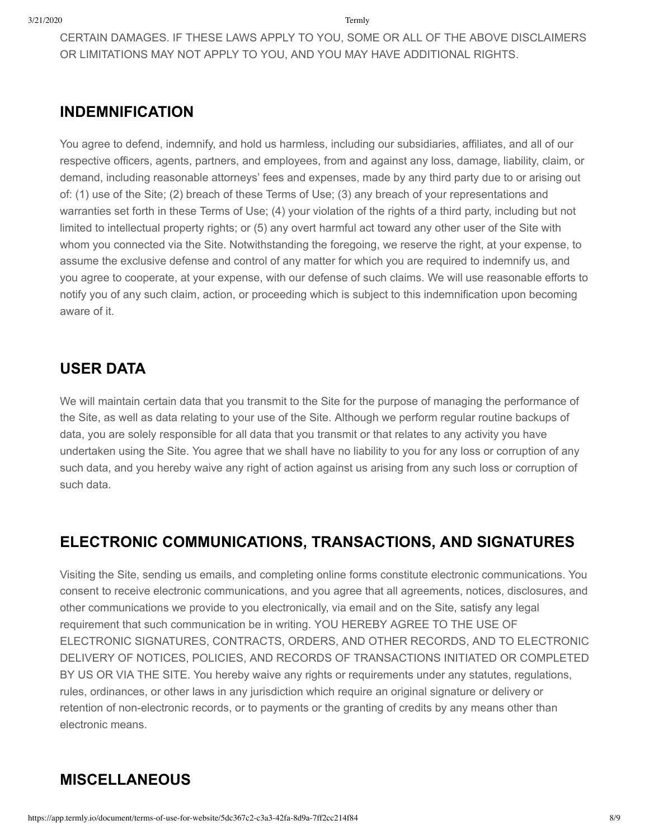CERTAIN DAMAGES. IF THESE LAWS APPLY TO YOU, SOME OR ALL OF THE ABOVE DISCLAIMERS OR LIMITATIONS MAY NOT APPLY TO YOU, AND YOU MAY HAVE ADDITIONAL RIGHTS.

#### **INDEMNIFICATION**

You agree to defend, indemnify, and hold us harmless, including our subsidiaries, affiliates, and all of our respective officers, agents, partners, and employees, from and against any loss, damage, liability, claim, or demand, including reasonable attorneys' fees and expenses, made by any third party due to or arising out of: (1) use of the Site; (2) breach of these Terms of Use; (3) any breach of your representations and warranties set forth in these Terms of Use; (4) your violation of the rights of a third party, including but not limited to intellectual property rights; or (5) any overt harmful act toward any other user of the Site with whom you connected via the Site. Notwithstanding the foregoing, we reserve the right, at your expense, to assume the exclusive defense and control of any matter for which you are required to indemnify us, and you agree to cooperate, at your expense, with our defense of such claims. We will use reasonable efforts to notify you of any such claim, action, or proceeding which is subject to this indemnification upon becoming aware of it.

## **USER DATA**

We will maintain certain data that you transmit to the Site for the purpose of managing the performance of the Site, as well as data relating to your use of the Site. Although we perform regular routine backups of data, you are solely responsible for all data that you transmit or that relates to any activity you have undertaken using the Site. You agree that we shall have no liability to you for any loss or corruption of any such data, and you hereby waive any right of action against us arising from any such loss or corruption of such data.

## **ELECTRONIC COMMUNICATIONS, TRANSACTIONS, AND SIGNATURES**

Visiting the Site, sending us emails, and completing online forms constitute electronic communications. You consent to receive electronic communications, and you agree that all agreements, notices, disclosures, and other communications we provide to you electronically, via email and on the Site, satisfy any legal requirement that such communication be in writing. YOU HEREBY AGREE TO THE USE OF ELECTRONIC SIGNATURES, CONTRACTS, ORDERS, AND OTHER RECORDS, AND TO ELECTRONIC DELIVERY OF NOTICES, POLICIES, AND RECORDS OF TRANSACTIONS INITIATED OR COMPLETED BY US OR VIA THE SITE. You hereby waive any rights or requirements under any statutes, regulations, rules, ordinances, or other laws in any jurisdiction which require an original signature or delivery or retention of non-electronic records, or to payments or the granting of credits by any means other than electronic means.

## **MISCELLANEOUS**